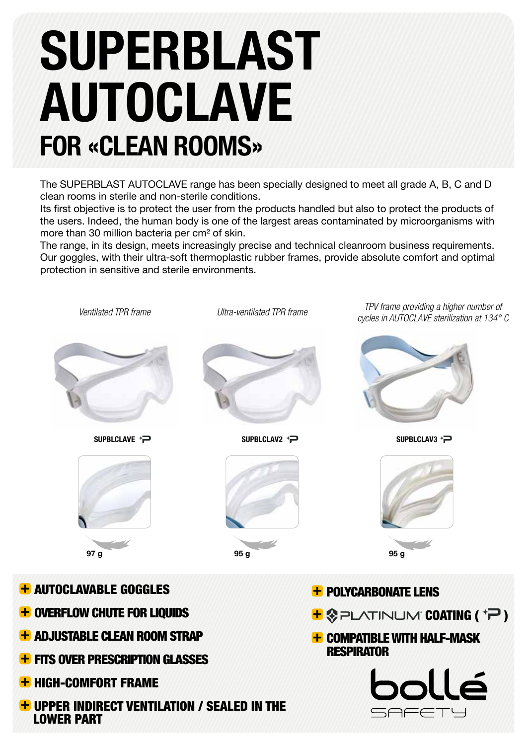# SUPERBLAST AUTOCLAVE FOR «CLEAN ROOMS»

The SUPERBLAST AUTOCLAVE range has been specially designed to meet all grade A, B, C and D clean rooms in sterile and non-sterile conditions.

Its first objective is to protect the user from the products handled but also to protect the products of the users. Indeed, the human body is one of the largest areas contaminated by microorganisms with more than 30 million bacteria per cm² of skin.

The range, in its design, meets increasingly precise and technical cleanroom business requirements. Our goggles, with their ultra-soft thermoplastic rubber frames, provide absolute comfort and optimal protection in sensitive and sterile environments.







*Ventilated TPR frame Ultra-ventilated TPR frame TPV frame providing a higher number of cycles in AUTOCLAVE sterilization at 134° C*



SUPBLCLAV3 +<sup>-</sup>



- AUTOCLAVABLE GOGGLES
- OVERFLOW CHUTE FOR LIQUIDS
- ADJUSTABLE CLEAN ROOM STRAP
- FITS OVER PRESCRIPTION GLASSES
- HIGH-COMFORT FRAME
- **+ UPPER INDIRECT VENTILATION / SEALED IN THE** LOWER PART
- **+ POLYCARBONATE LENS**
- $\overline{+}$   $\otimes$  PLATINUM **COATING (**  $\overline{+}$  **)**
- COMPATIBLE WITH HALF-MASK **RESPIRATOR**